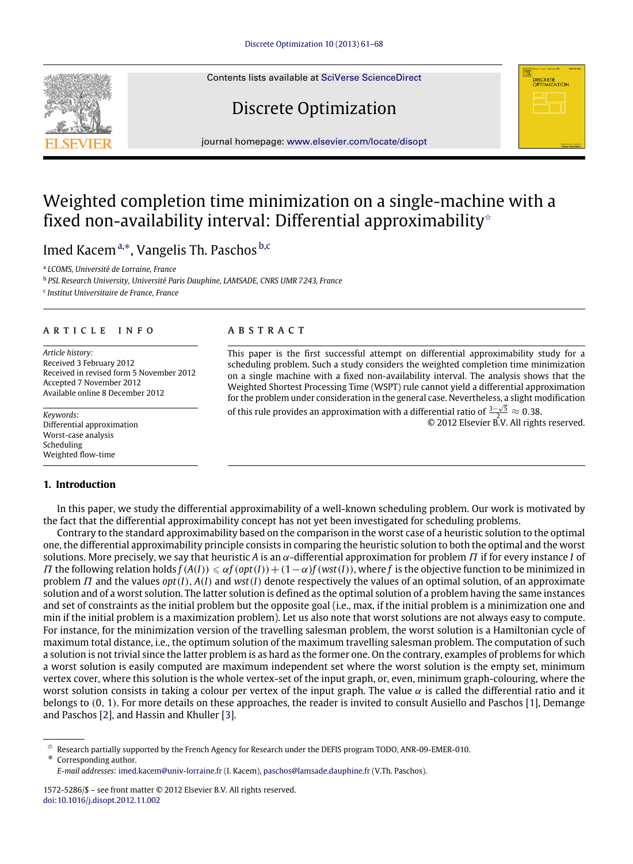Contents lists available at [SciVerse ScienceDirect](http://www.elsevier.com/locate/disopt)

# Discrete Optimization

journal homepage: [www.elsevier.com/locate/disopt](http://www.elsevier.com/locate/disopt)

## Weighted completion time minimization on a single-machine with a fixed non-availability interval: Differential approximability<sup>\*</sup>

Imed Kacem<sup>[a,](#page-0-1)[∗](#page-0-2)</sup>, Vangelis Th. Paschos <sup>[b](#page-0-3)[,c](#page-0-4)</sup>

<span id="page-0-1"></span>a *LCOMS, Université de Lorraine, France*

<span id="page-0-3"></span>b *PSL Research University, Université Paris Dauphine, LAMSADE, CNRS UMR 7243, France*

<span id="page-0-4"></span>c *Institut Universitaire de France, France*

#### a r t i c l e i n f o

*Article history:* Received 3 February 2012 Received in revised form 5 November 2012 Accepted 7 November 2012 Available online 8 December 2012

*Keywords:* Differential approximation Worst-case analysis Scheduling Weighted flow-time

### **1. Introduction**

### A B S T R A C T

This paper is the first successful attempt on differential approximability study for a scheduling problem. Such a study considers the weighted completion time minimization on a single machine with a fixed non-availability interval. The analysis shows that the Weighted Shortest Processing Time (WSPT) rule cannot yield a differential approximation for the problem under consideration in the general case. Nevertheless, a slight modification  $\bar{f}$ 

of this rule provides an approximation with a differential ratio of  $\frac{3-\sqrt{5}}{2} \approx 0.38$ . © 2012 Elsevier B.V. All rights reserved.

**DISCRETE**<br>**OPTIMIZATION** 

In this paper, we study the differential approximability of a well-known scheduling problem. Our work is motivated by the fact that the differential approximability concept has not yet been investigated for scheduling problems.

Contrary to the standard approximability based on the comparison in the worst case of a heuristic solution to the optimal one, the differential approximability principle consists in comparing the heuristic solution to both the optimal and the worst solutions. More precisely, we say that heuristic *A* is an α-differential approximation for problem Π if for every instance *I* of *Π* the following relation holds  $f(A(I)) \leq \alpha f(\varphi(t)) + (1-\alpha)f(\psi(t))$ , where *f* is the objective function to be minimized in problem Π and the values *opt*(*I*), *A*(*I*) and *wst*(*I*) denote respectively the values of an optimal solution, of an approximate solution and of a worst solution. The latter solution is defined as the optimal solution of a problem having the same instances and set of constraints as the initial problem but the opposite goal (i.e., max, if the initial problem is a minimization one and min if the initial problem is a maximization problem). Let us also note that worst solutions are not always easy to compute. For instance, for the minimization version of the travelling salesman problem, the worst solution is a Hamiltonian cycle of maximum total distance, i.e., the optimum solution of the maximum travelling salesman problem. The computation of such a solution is not trivial since the latter problem is as hard as the former one. On the contrary, examples of problems for which a worst solution is easily computed are maximum independent set where the worst solution is the empty set, minimum vertex cover, where this solution is the whole vertex-set of the input graph, or, even, minimum graph-colouring, where the worst solution consists in taking a colour per vertex of the input graph. The value  $\alpha$  is called the differential ratio and it belongs to (0, 1). For more details on these approaches, the reader is invited to consult Ausiello and Paschos [\[1\]](#page--1-0), Demange and Paschos [\[2\]](#page--1-1), and Hassin and Khuller [\[3\]](#page--1-2).



<span id="page-0-0"></span> $\vec{X}$  Research partially supported by the French Agency for Research under the DEFIS program TODO, ANR-09-EMER-010. ∗ Corresponding author.

<span id="page-0-2"></span>*E-mail addresses:* [imed.kacem@univ-lorraine.fr](mailto:imed.kacem@univ-lorraine.fr) (I. Kacem), [paschos@lamsade.dauphine.fr](mailto:paschos@lamsade.dauphine.fr) (V.Th. Paschos).

<sup>1572-5286/\$ –</sup> see front matter © 2012 Elsevier B.V. All rights reserved. [doi:10.1016/j.disopt.2012.11.002](http://dx.doi.org/10.1016/j.disopt.2012.11.002)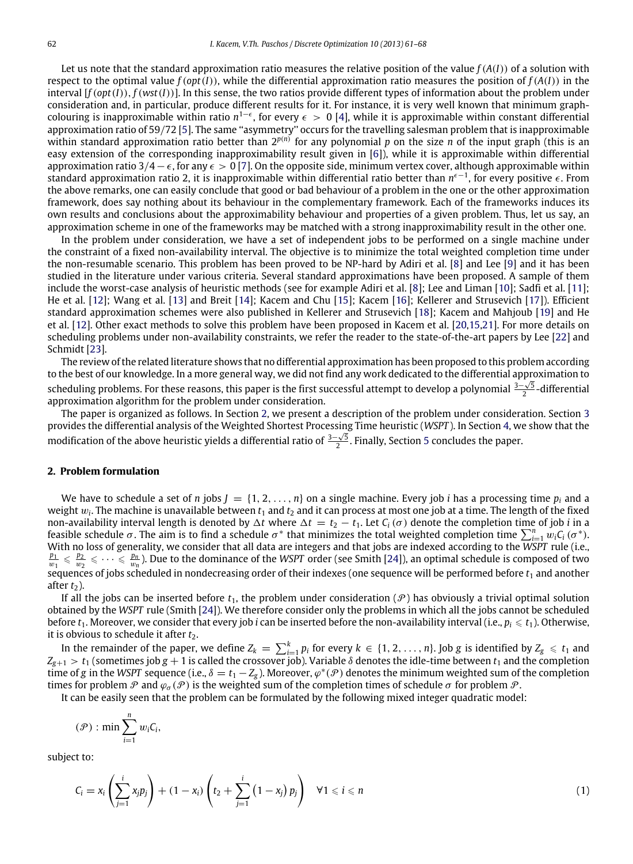Let us note that the standard approximation ratio measures the relative position of the value  $f(A(I))$  of a solution with respect to the optimal value  $f(opt(I))$ , while the differential approximation ratio measures the position of  $f(A(I))$  in the interval [*f*(*opt*(*I*)), *f*(*wst*(*I*))]. In this sense, the two ratios provide different types of information about the problem under consideration and, in particular, produce different results for it. For instance, it is very well known that minimum graphcolouring is inapproximable within ratio  $n^{1-\epsilon}$ , for every  $\epsilon > 0$  [\[4\]](#page--1-3), while it is approximable within constant differential approximation ratio of 59/72 [\[5\]](#page--1-4). The same ''asymmetry'' occurs for the travelling salesman problem that is inapproximable within standard approximation ratio better than  $2^{p(n)}$  for any polynomial p on the size n of the input graph (this is an easy extension of the corresponding inapproximability result given in [\[6\]](#page--1-5)), while it is approximable within differential approximation ratio 3/4 –  $\epsilon$ , for any  $\epsilon > 0$  [\[7\]](#page--1-6). On the opposite side, minimum vertex cover, although approximable within standard approximation ratio 2, it is inapproximable within differential ratio better than *n* ϵ−1 , for every positive ϵ. From the above remarks, one can easily conclude that good or bad behaviour of a problem in the one or the other approximation framework, does say nothing about its behaviour in the complementary framework. Each of the frameworks induces its own results and conclusions about the approximability behaviour and properties of a given problem. Thus, let us say, an approximation scheme in one of the frameworks may be matched with a strong inapproximability result in the other one.

In the problem under consideration, we have a set of independent jobs to be performed on a single machine under the constraint of a fixed non-availability interval. The objective is to minimize the total weighted completion time under the non-resumable scenario. This problem has been proved to be NP-hard by Adiri et al. [\[8\]](#page--1-7) and Lee [\[9\]](#page--1-8) and it has been studied in the literature under various criteria. Several standard approximations have been proposed. A sample of them include the worst-case analysis of heuristic methods (see for example Adiri et al. [\[8\]](#page--1-7); Lee and Liman [\[10\]](#page--1-9); Sadfi et al. [\[11\]](#page--1-10); He et al. [\[12\]](#page--1-11); Wang et al. [\[13\]](#page--1-12) and Breit [\[14\]](#page--1-13); Kacem and Chu [\[15\]](#page--1-14); Kacem [\[16\]](#page--1-15); Kellerer and Strusevich [\[17\]](#page--1-16)). Efficient standard approximation schemes were also published in Kellerer and Strusevich [\[18\]](#page--1-17); Kacem and Mahjoub [\[19\]](#page--1-18) and He et al. [\[12\]](#page--1-11). Other exact methods to solve this problem have been proposed in Kacem et al. [\[20,](#page--1-19)[15](#page--1-14)[,21\]](#page--1-20). For more details on scheduling problems under non-availability constraints, we refer the reader to the state-of-the-art papers by Lee [\[22\]](#page--1-21) and Schmidt [\[23\]](#page--1-22).

The review of the related literature shows that no differential approximation has been proposed to this problem according to the best of our knowledge. In a more general way, we did not find any work dedicated to the differential approximation to √ scheduling problems. For these reasons, this paper is the first successful attempt to develop a polynomial  $\frac{3-\sqrt{5}}{2}$ -differential approximation algorithm for the problem under consideration.

The paper is organized as follows. In Section [2,](#page-1-0) we present a description of the problem under consideration. Section [3](#page--1-23) provides the differential analysis of the Weighted Shortest Processing Time heuristic (*WSPT* ). In Section [4,](#page--1-24) we show that the √ modification of the above heuristic yields a differential ratio of  $\frac{3-\sqrt{5}}{2}$  $\frac{3-\sqrt{5}}{2}$  $\frac{3-\sqrt{5}}{2}$ . Finally, Section 5 concludes the paper.

#### <span id="page-1-0"></span>**2. Problem formulation**

We have to schedule a set of *n* jobs  $J = \{1, 2, ..., n\}$  on a single machine. Every job *i* has a processing time  $p_i$  and a weight w*<sup>i</sup>* . The machine is unavailable between *t*<sup>1</sup> and *t*<sup>2</sup> and it can process at most one job at a time. The length of the fixed non-availability interval length is denoted by  $\Delta t$  where  $\Delta t = t_2 - t_1$ . Let  $C_i(\sigma)$  denote the completion time of job *i* in a feasible schedule  $\sigma$ . The aim is to find a schedule  $\sigma^*$  that minimizes the total weighted completion time  $\sum_{i=1}^n w_i C_i (\sigma^*)$ . With no loss of generality, we consider that all data are integers and that jobs are indexed according to the WSPT rule (i.e.,  $\frac{p_1}{w_1} \leq \frac{p_2}{w_2} \leq \cdots \leq \frac{p_n}{w_n}$ ). Due to the dominance of the WSPT order (see Sm sequences of jobs scheduled in nondecreasing order of their indexes (one sequence will be performed before  $t_1$  and another after  $t_2$ ).

If all the jobs can be inserted before  $t_1$ , the problem under consideration  $(\mathcal{P})$  has obviously a trivial optimal solution obtained by the *WSPT* rule (Smith [\[24\]](#page--1-26)). We therefore consider only the problems in which all the jobs cannot be scheduled before  $t_1$ . Moreover, we consider that every job *i* can be inserted before the non-availability interval (i.e.,  $p_i \leq t_1$ ). Otherwise, it is obvious to schedule it after *t*<sub>2</sub>.

In the remainder of the paper, we define  $Z_k=\sum_{i=1}^kp_i$  for every  $k\in\{1,2,\ldots,n\}.$  Job  $g$  is identified by  $Z_g\leqslant t_1$  and  $Z_{g+1}>t_1$  (sometimes job  $g+1$  is called the crossover job). Variable  $\delta$  denotes the idle-time between  $t_1$  and the completion time of *g* in the *WSPT* sequence (i.e.,  $\delta = t_1 - Z_g$ ). Moreover,  $\varphi^*(\mathcal{P})$  denotes the minimum weighted sum of the completion times for problem P and  $\varphi_{\sigma}(\mathcal{P})$  is the weighted sum of the completion times of schedule  $\sigma$  for problem P.

It can be easily seen that the problem can be formulated by the following mixed integer quadratic model:

$$
(\mathcal{P}) : \min \sum_{i=1}^n w_i C_i,
$$

subject to:

$$
C_i = x_i \left( \sum_{j=1}^i x_j p_j \right) + (1 - x_i) \left( t_2 + \sum_{j=1}^i \left( 1 - x_j \right) p_j \right) \quad \forall 1 \leqslant i \leqslant n \tag{1}
$$